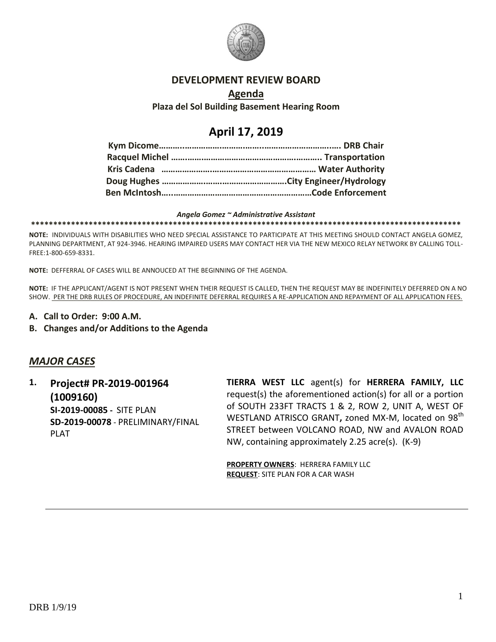

### **DEVELOPMENT REVIEW BOARD**

### **Agenda**

**Plaza del Sol Building Basement Hearing Room**

# **April 17, 2019**

#### *Angela Gomez ~ Administrative Assistant*

**\*\*\*\*\*\*\*\*\*\*\*\*\*\*\*\*\*\*\*\*\*\*\*\*\*\*\*\*\*\*\*\*\*\*\*\*\*\*\*\*\*\*\*\*\*\*\*\*\*\*\*\*\*\*\*\*\*\*\*\*\*\*\*\*\*\*\*\*\*\*\*\*\*\*\*\*\*\*\*\*\*\*\*\*\*\*\*\*\*\*\*\*\*\*\*\*\***

**NOTE:** INDIVIDUALS WITH DISABILITIES WHO NEED SPECIAL ASSISTANCE TO PARTICIPATE AT THIS MEETING SHOULD CONTACT ANGELA GOMEZ, PLANNING DEPARTMENT, AT 924-3946. HEARING IMPAIRED USERS MAY CONTACT HER VIA THE NEW MEXICO RELAY NETWORK BY CALLING TOLL-FREE:1-800-659-8331.

**NOTE:** DEFFERRAL OF CASES WILL BE ANNOUCED AT THE BEGINNING OF THE AGENDA.

**NOTE:** IF THE APPLICANT/AGENT IS NOT PRESENT WHEN THEIR REQUEST IS CALLED, THEN THE REQUEST MAY BE INDEFINITELY DEFERRED ON A NO SHOW. PER THE DRB RULES OF PROCEDURE, AN INDEFINITE DEFERRAL REQUIRES A RE-APPLICATION AND REPAYMENT OF ALL APPLICATION FEES.

- **A. Call to Order: 9:00 A.M.**
- **B. Changes and/or Additions to the Agenda**

# *MAJOR CASES*

**1. Project# PR-2019-001964 (1009160) SI-2019-00085 -** SITE PLAN **SD-2019-00078** - PRELIMINARY/FINAL PLAT

**TIERRA WEST LLC** agent(s) for **HERRERA FAMILY, LLC** request(s) the aforementioned action(s) for all or a portion of SOUTH 233FT TRACTS 1 & 2, ROW 2, UNIT A, WEST OF WESTLAND ATRISCO GRANT, zoned MX-M, located on 98<sup>th</sup> STREET between VOLCANO ROAD, NW and AVALON ROAD NW, containing approximately 2.25 acre(s). (K-9)

**PROPERTY OWNERS**: HERRERA FAMILY LLC **REQUEST**: SITE PLAN FOR A CAR WASH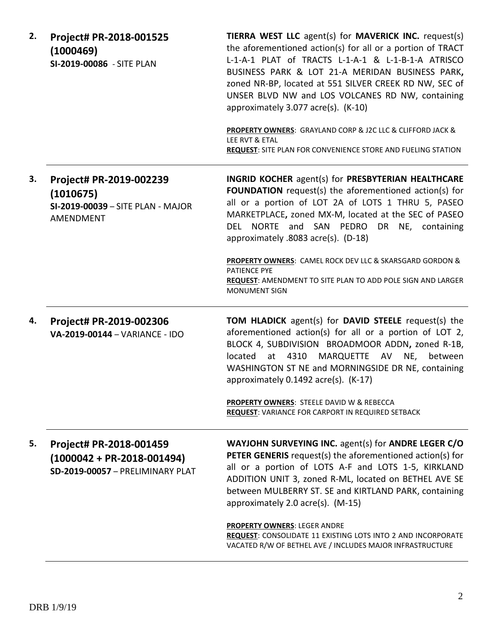| 2. | Project# PR-2018-001525<br>(1000469)<br>SI-2019-00086 - SITE PLAN                               | TIERRA WEST LLC agent(s) for MAVERICK INC. request(s)<br>the aforementioned action(s) for all or a portion of TRACT<br>L-1-A-1 PLAT of TRACTS L-1-A-1 & L-1-B-1-A ATRISCO<br>BUSINESS PARK & LOT 21-A MERIDAN BUSINESS PARK,<br>zoned NR-BP, located at 551 SILVER CREEK RD NW, SEC of<br>UNSER BLVD NW and LOS VOLCANES RD NW, containing<br>approximately 3.077 acre(s). (K-10) |
|----|-------------------------------------------------------------------------------------------------|-----------------------------------------------------------------------------------------------------------------------------------------------------------------------------------------------------------------------------------------------------------------------------------------------------------------------------------------------------------------------------------|
|    |                                                                                                 | <b>PROPERTY OWNERS: GRAYLAND CORP &amp; J2C LLC &amp; CLIFFORD JACK &amp;</b><br>LEE RVT & ETAL<br><b>REQUEST:</b> SITE PLAN FOR CONVENIENCE STORE AND FUELING STATION                                                                                                                                                                                                            |
| 3. | Project# PR-2019-002239<br>(1010675)<br>SI-2019-00039 - SITE PLAN - MAJOR<br>AMENDMENT          | <b>INGRID KOCHER agent(s) for PRESBYTERIAN HEALTHCARE</b><br><b>FOUNDATION</b> request(s) the aforementioned action(s) for<br>all or a portion of LOT 2A of LOTS 1 THRU 5, PASEO<br>MARKETPLACE, zoned MX-M, located at the SEC of PASEO<br>DEL NORTE and SAN PEDRO<br>DR NE, containing<br>approximately .8083 acre(s). (D-18)                                                   |
|    |                                                                                                 | PROPERTY OWNERS: CAMEL ROCK DEV LLC & SKARSGARD GORDON &<br><b>PATIENCE PYE</b><br><b>REQUEST: AMENDMENT TO SITE PLAN TO ADD POLE SIGN AND LARGER</b><br><b>MONUMENT SIGN</b>                                                                                                                                                                                                     |
| 4. | Project# PR-2019-002306<br>VA-2019-00144 - VARIANCE - IDO                                       | <b>TOM HLADICK</b> agent(s) for <b>DAVID STEELE</b> request(s) the<br>aforementioned action(s) for all or a portion of LOT 2,<br>BLOCK 4, SUBDIVISION BROADMOOR ADDN, zoned R-1B,<br>MARQUETTE AV NE,<br>at 4310<br>located<br>between<br>WASHINGTON ST NE and MORNINGSIDE DR NE, containing<br>approximately 0.1492 acre(s). (K-17)                                              |
|    |                                                                                                 | PROPERTY OWNERS: STEELE DAVID W & REBECCA<br><b>REQUEST:</b> VARIANCE FOR CARPORT IN REQUIRED SETBACK                                                                                                                                                                                                                                                                             |
| 5. | Project# PR-2018-001459<br>$(1000042 + PR - 2018 - 001494)$<br>SD-2019-00057 - PRELIMINARY PLAT | WAYJOHN SURVEYING INC. agent(s) for ANDRE LEGER C/O<br><b>PETER GENERIS</b> request(s) the aforementioned action(s) for<br>all or a portion of LOTS A-F and LOTS 1-5, KIRKLAND<br>ADDITION UNIT 3, zoned R-ML, located on BETHEL AVE SE<br>between MULBERRY ST. SE and KIRTLAND PARK, containing<br>approximately 2.0 acre(s). (M-15)                                             |
|    |                                                                                                 | <b>PROPERTY OWNERS: LEGER ANDRE</b><br>REQUEST: CONSOLIDATE 11 EXISTING LOTS INTO 2 AND INCORPORATE<br>VACATED R/W OF BETHEL AVE / INCLUDES MAJOR INFRASTRUCTURE                                                                                                                                                                                                                  |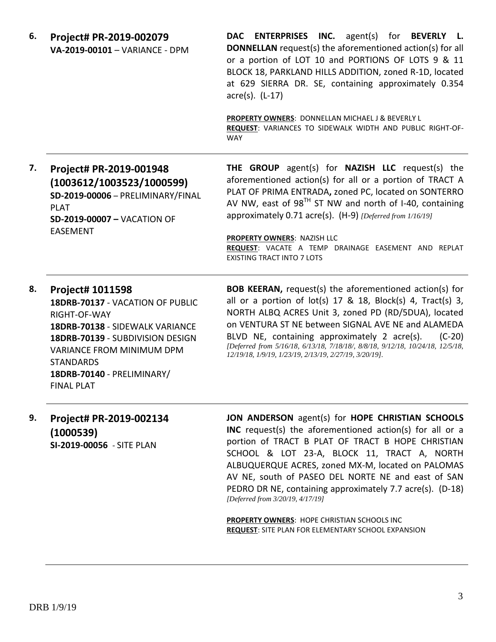| 6. | Project# PR-2019-002079<br>VA-2019-00101 - VARIANCE - DPM                                                                                                                                                                                       | DAC ENTERPRISES INC. agent(s) for BEVERLY L.<br><b>DONNELLAN</b> request(s) the aforementioned action(s) for all<br>or a portion of LOT 10 and PORTIONS OF LOTS 9 & 11<br>BLOCK 18, PARKLAND HILLS ADDITION, zoned R-1D, located<br>at 629 SIERRA DR. SE, containing approximately 0.354<br>acre(s). (L-17)<br>PROPERTY OWNERS: DONNELLAN MICHAEL J & BEVERLY L<br>REQUEST: VARIANCES TO SIDEWALK WIDTH AND PUBLIC RIGHT-OF-<br><b>WAY</b>            |
|----|-------------------------------------------------------------------------------------------------------------------------------------------------------------------------------------------------------------------------------------------------|-------------------------------------------------------------------------------------------------------------------------------------------------------------------------------------------------------------------------------------------------------------------------------------------------------------------------------------------------------------------------------------------------------------------------------------------------------|
| 7. | Project# PR-2019-001948<br>(1003612/1003523/1000599)<br>SD-2019-00006 - PRELIMINARY/FINAL<br><b>PLAT</b><br><b>SD-2019-00007 - VACATION OF</b><br><b>EASEMENT</b>                                                                               | THE GROUP agent(s) for NAZISH LLC request(s) the<br>aforementioned action(s) for all or a portion of TRACT A<br>PLAT OF PRIMA ENTRADA, zoned PC, located on SONTERRO<br>AV NW, east of $98TH$ ST NW and north of I-40, containing<br>approximately 0.71 acre(s). (H-9) [Deferred from 1/16/19]<br>PROPERTY OWNERS: NAZISH LLC<br>REQUEST: VACATE A TEMP DRAINAGE EASEMENT AND REPLAT<br><b>EXISTING TRACT INTO 7 LOTS</b>                             |
| 8. | Project# 1011598<br>18DRB-70137 - VACATION OF PUBLIC<br>RIGHT-OF-WAY<br>18DRB-70138 - SIDEWALK VARIANCE<br>18DRB-70139 - SUBDIVISION DESIGN<br>VARIANCE FROM MINIMUM DPM<br><b>STANDARDS</b><br>18DRB-70140 - PRELIMINARY/<br><b>FINAL PLAT</b> | <b>BOB KEERAN, request(s) the aforementioned action(s) for</b><br>all or a portion of $lot(s)$ 17 & 18, Block(s) 4, Tract(s) 3,<br>NORTH ALBQ ACRES Unit 3, zoned PD (RD/5DUA), located<br>on VENTURA ST NE between SIGNAL AVE NE and ALAMEDA<br>BLVD NE, containing approximately 2 acre(s).<br>$(C-20)$<br>[Deferred from 5/16/18, 6/13/18, 7/18/18/, 8/8/18, 9/12/18, 10/24/18, 12/5/18,<br>12/19/18, 1/9/19, 1/23/19, 2/13/19, 2/27/19, 3/20/19]. |
| 9. | Project# PR-2019-002134                                                                                                                                                                                                                         | JON ANDERSON agent(s) for HOPE CHRISTIAN SCHOOLS<br>$\mathcal{L}$ , and the contract of the contract of the contract of the contract of the contract of the contract of the contract of the contract of the contract of the contract of the contract of the contract of the contract o                                                                                                                                                                |

**(1000539) SI-2019-00056** - SITE PLAN

**INC** request(s) the aforementioned action(s) for all or a portion of TRACT B PLAT OF TRACT B HOPE CHRISTIAN SCHOOL & LOT 23-A, BLOCK 11, TRACT A, NORTH ALBUQUERQUE ACRES, zoned MX-M, located on PALOMAS AV NE, south of PASEO DEL NORTE NE and east of SAN PEDRO DR NE, containing approximately 7.7 acre(s). (D-18) *[Deferred from 3/20/19, 4/17/19]*

**PROPERTY OWNERS**: HOPE CHRISTIAN SCHOOLS INC **REQUEST**: SITE PLAN FOR ELEMENTARY SCHOOL EXPANSION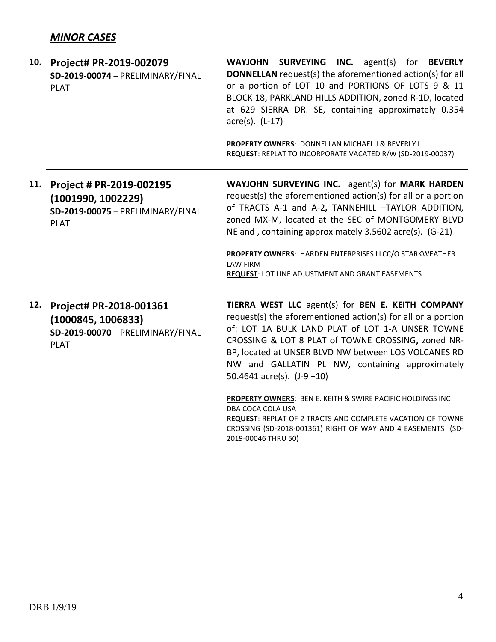| 10. | Project# PR-2019-002079<br>SD-2019-00074 - PRELIMINARY/FINAL<br><b>PLAT</b>                        | WAYJOHN SURVEYING INC. agent(s) for BEVERLY<br><b>DONNELLAN</b> request(s) the aforementioned action(s) for all<br>or a portion of LOT 10 and PORTIONS OF LOTS 9 & 11<br>BLOCK 18, PARKLAND HILLS ADDITION, zoned R-1D, located<br>at 629 SIERRA DR. SE, containing approximately 0.354<br>$\arccos(5)$ . (L-17)<br>PROPERTY OWNERS: DONNELLAN MICHAEL J & BEVERLY L<br>REQUEST: REPLAT TO INCORPORATE VACATED R/W (SD-2019-00037) |
|-----|----------------------------------------------------------------------------------------------------|------------------------------------------------------------------------------------------------------------------------------------------------------------------------------------------------------------------------------------------------------------------------------------------------------------------------------------------------------------------------------------------------------------------------------------|
| 11. | Project # PR-2019-002195<br>(1001990, 1002229)<br>SD-2019-00075 - PRELIMINARY/FINAL<br><b>PLAT</b> | WAYJOHN SURVEYING INC. agent(s) for MARK HARDEN<br>request(s) the aforementioned action(s) for all or a portion<br>of TRACTS A-1 and A-2, TANNEHILL -TAYLOR ADDITION,<br>zoned MX-M, located at the SEC of MONTGOMERY BLVD<br>NE and, containing approximately 3.5602 acre(s). (G-21)<br>PROPERTY OWNERS: HARDEN ENTERPRISES LLCC/O STARKWEATHER                                                                                   |
|     |                                                                                                    | <b>LAW FIRM</b><br>REQUEST: LOT LINE ADJUSTMENT AND GRANT EASEMENTS                                                                                                                                                                                                                                                                                                                                                                |
| 12. | Project# PR-2018-001361<br>(1000845, 1006833)<br>SD-2019-00070 - PRELIMINARY/FINAL<br><b>PLAT</b>  | TIERRA WEST LLC agent(s) for BEN E. KEITH COMPANY<br>request(s) the aforementioned action(s) for all or a portion<br>of: LOT 1A BULK LAND PLAT of LOT 1-A UNSER TOWNE<br>CROSSING & LOT 8 PLAT of TOWNE CROSSING, zoned NR-<br>BP, located at UNSER BLVD NW between LOS VOLCANES RD<br>NW and GALLATIN PL NW, containing approximately<br>50.4641 $\arccos 1$ , $(J-9+10)$                                                         |
|     |                                                                                                    | <b>PROPERTY OWNERS: BEN E. KEITH &amp; SWIRE PACIFIC HOLDINGS INC</b><br>DBA COCA COLA USA<br><b>REQUEST: REPLAT OF 2 TRACTS AND COMPLETE VACATION OF TOWNE</b><br>CROSSING (SD-2018-001361) RIGHT OF WAY AND 4 EASEMENTS (SD-<br>2019-00046 THRU 50)                                                                                                                                                                              |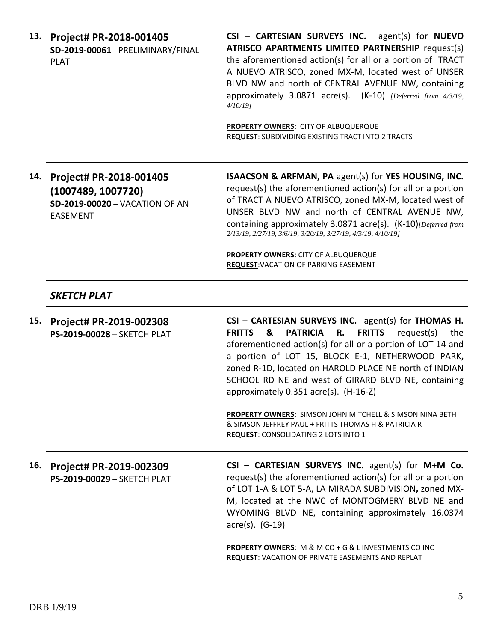**13. Project# PR-2018-001405 SD-2019-00061** - PRELIMINARY/FINAL PLAT

**CSI – CARTESIAN SURVEYS INC.** agent(s) for **NUEVO ATRISCO APARTMENTS LIMITED PARTNERSHIP** request(s) the aforementioned action(s) for all or a portion of TRACT A NUEVO ATRISCO, zoned MX-M, located west of UNSER BLVD NW and north of CENTRAL AVENUE NW, containing approximately 3.0871 acre(s). (K-10) *[Deferred from 4/3/19, 4/10/19]*

**PROPERTY OWNERS**: CITY OF ALBUQUERQUE **REQUEST**: SUBDIVIDING EXISTING TRACT INTO 2 TRACTS

**14. Project# PR-2018-001405 (1007489, 1007720) SD-2019-00020** – VACATION OF AN EASEMENT

**ISAACSON & ARFMAN, PA** agent(s) for **YES HOUSING, INC.** request(s) the aforementioned action(s) for all or a portion of TRACT A NUEVO ATRISCO, zoned MX-M, located west of UNSER BLVD NW and north of CENTRAL AVENUE NW, containing approximately 3.0871 acre(s). (K-10)*[Deferred from 2/13/19, 2/27/19, 3/6/19, 3/20/19, 3/27/19, 4/3/19, 4/10/19]*

**PROPERTY OWNERS**: CITY OF ALBUQUERQUE **REQUEST**:VACATION OF PARKING EASEMENT

## *SKETCH PLAT*

**15. Project# PR-2019-002308 PS-2019-00028** – SKETCH PLAT **CSI – CARTESIAN SURVEYS INC.** agent(s) for **THOMAS H. FRITTS & PATRICIA R. FRITTS** request(s) the aforementioned action(s) for all or a portion of LOT 14 and a portion of LOT 15, BLOCK E-1, NETHERWOOD PARK**,**  zoned R-1D, located on HAROLD PLACE NE north of INDIAN SCHOOL RD NE and west of GIRARD BLVD NE, containing approximately 0.351 acre(s). (H-16-Z) **PROPERTY OWNERS**: SIMSON JOHN MITCHELL & SIMSON NINA BETH & SIMSON JEFFREY PAUL + FRITTS THOMAS H & PATRICIA R **REQUEST**: CONSOLIDATING 2 LOTS INTO 1 **16. Project# PR-2019-002309 PS-2019-00029** – SKETCH PLAT **CSI – CARTESIAN SURVEYS INC.** agent(s) for **M+M Co.**

request(s) the aforementioned action(s) for all or a portion of LOT 1-A & LOT 5-A, LA MIRADA SUBDIVISION**,** zoned MX-M, located at the NWC of MONTOGMERY BLVD NE and WYOMING BLVD NE, containing approximately 16.0374 acre(s). (G-19)

**PROPERTY OWNERS**: M & M CO + G & L INVESTMENTS CO INC **REQUEST**: VACATION OF PRIVATE EASEMENTS AND REPLAT